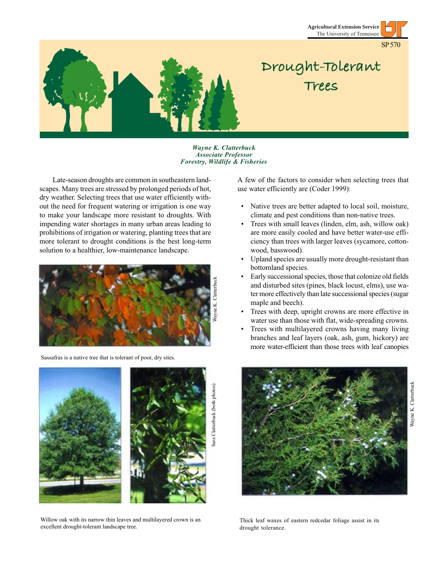

*Wayne K. Clatterbuck Associate Professor Forestry, Wildlife & Fisheries*

Late-season droughts are common in southeastern landscapes. Many trees are stressed by prolonged periods of hot, dry weather. Selecting trees that use water efficiently without the need for frequent watering or irrigation is one way to make your landscape more resistant to droughts. With impending water shortages in many urban areas leading to prohibitions of irrigation or watering, planting trees that are more tolerant to drought conditions is the best long-term solution to a healthier, low-maintenance landscape.



Sassafras is a native tree that is tolerant of poor, dry sites.



Willow oak with its narrow thin leaves and multilayered crown is an excellent drought-tolerant landscape tree.

A few of the factors to consider when selecting trees that use water efficiently are (Coder 1999):

- Native trees are better adapted to local soil, moisture, climate and pest conditions than non-native trees.
- Trees with small leaves (linden, elm, ash, willow oak) are more easily cooled and have better water-use efficiency than trees with larger leaves (sycamore, cottonwood, basswood).
- Upland species are usually more drought-resistant than bottomland species.
- Early successional species, those that colonize old fields and disturbed sites (pines, black locust, elms), use water more effectively than late successional species (sugar maple and beech).
- Trees with deep, upright crowns are more effective in water use than those with flat, wide-spreading crowns.
- Trees with multilayered crowns having many living branches and leaf layers (oak, ash, gum, hickory) are more water-efficient than those trees with leaf canopies



Thick leaf waxes of eastern redcedar foliage assist in its drought tolerance.